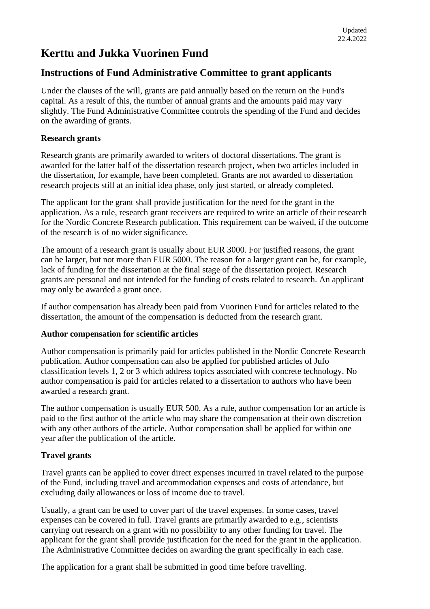# **Kerttu and Jukka Vuorinen Fund**

# **Instructions of Fund Administrative Committee to grant applicants**

Under the clauses of the will, grants are paid annually based on the return on the Fund's capital. As a result of this, the number of annual grants and the amounts paid may vary slightly. The Fund Administrative Committee controls the spending of the Fund and decides on the awarding of grants.

### **Research grants**

Research grants are primarily awarded to writers of doctoral dissertations. The grant is awarded for the latter half of the dissertation research project, when two articles included in the dissertation, for example, have been completed. Grants are not awarded to dissertation research projects still at an initial idea phase, only just started, or already completed.

The applicant for the grant shall provide justification for the need for the grant in the application. As a rule, research grant receivers are required to write an article of their research for the Nordic Concrete Research publication. This requirement can be waived, if the outcome of the research is of no wider significance.

The amount of a research grant is usually about EUR 3000. For justified reasons, the grant can be larger, but not more than EUR 5000. The reason for a larger grant can be, for example, lack of funding for the dissertation at the final stage of the dissertation project. Research grants are personal and not intended for the funding of costs related to research. An applicant may only be awarded a grant once.

If author compensation has already been paid from Vuorinen Fund for articles related to the dissertation, the amount of the compensation is deducted from the research grant.

#### **Author compensation for scientific articles**

Author compensation is primarily paid for articles published in the Nordic Concrete Research publication. Author compensation can also be applied for published articles of Jufo classification levels 1, 2 or 3 which address topics associated with concrete technology. No author compensation is paid for articles related to a dissertation to authors who have been awarded a research grant.

The author compensation is usually EUR 500. As a rule, author compensation for an article is paid to the first author of the article who may share the compensation at their own discretion with any other authors of the article. Author compensation shall be applied for within one year after the publication of the article.

## **Travel grants**

Travel grants can be applied to cover direct expenses incurred in travel related to the purpose of the Fund, including travel and accommodation expenses and costs of attendance, but excluding daily allowances or loss of income due to travel.

Usually, a grant can be used to cover part of the travel expenses. In some cases, travel expenses can be covered in full. Travel grants are primarily awarded to e.g., scientists carrying out research on a grant with no possibility to any other funding for travel. The applicant for the grant shall provide justification for the need for the grant in the application. The Administrative Committee decides on awarding the grant specifically in each case.

The application for a grant shall be submitted in good time before travelling.